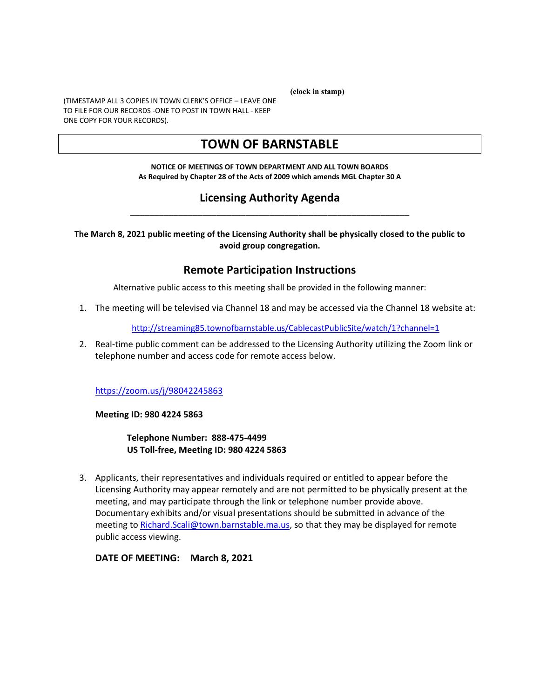**(clock in stamp)** 

(TIMESTAMP ALL 3 COPIES IN TOWN CLERK'S OFFICE – LEAVE ONE TO FILE FOR OUR RECORDS -ONE TO POST IN TOWN HALL - KEEP ONE COPY FOR YOUR RECORDS).

### **TOWN OF BARNSTABLE**

#### **NOTICE OF MEETINGS OF TOWN DEPARTMENT AND ALL TOWN BOARDS As Required by Chapter 28 of the Acts of 2009 which amends MGL Chapter 30 A**

#### **Licensing Authority Agenda**  \_\_\_\_\_\_\_\_\_\_\_\_\_\_\_\_\_\_\_\_\_\_\_\_\_\_\_\_\_\_\_\_\_\_\_\_\_\_\_\_\_\_\_\_\_\_\_\_\_\_\_\_\_\_\_\_\_\_

**The March 8, 2021 public meeting of the Licensing Authority shall be physically closed to the public to avoid group congregation.** 

#### **Remote Participation Instructions**

Alternative public access to this meeting shall be provided in the following manner:

1. The meeting will be televised via Channel 18 and may be accessed via the Channel 18 website at:

http://streaming85.townofbarnstable.us/CablecastPublicSite/watch/1?channel=1

2. Real-time public comment can be addressed to the Licensing Authority utilizing the Zoom link or telephone number and access code for remote access below.

https://zoom.us/j/98042245863

**Meeting ID: 980 4224 5863** 

**Telephone Number: 888-475-4499 US Toll-free, Meeting ID: 980 4224 5863** 

3. Applicants, their representatives and individuals required or entitled to appear before the Licensing Authority may appear remotely and are not permitted to be physically present at the meeting, and may participate through the link or telephone number provide above. Documentary exhibits and/or visual presentations should be submitted in advance of the meeting to Richard.Scali@town.barnstable.ma.us, so that they may be displayed for remote public access viewing.

**DATE OF MEETING: March 8, 2021**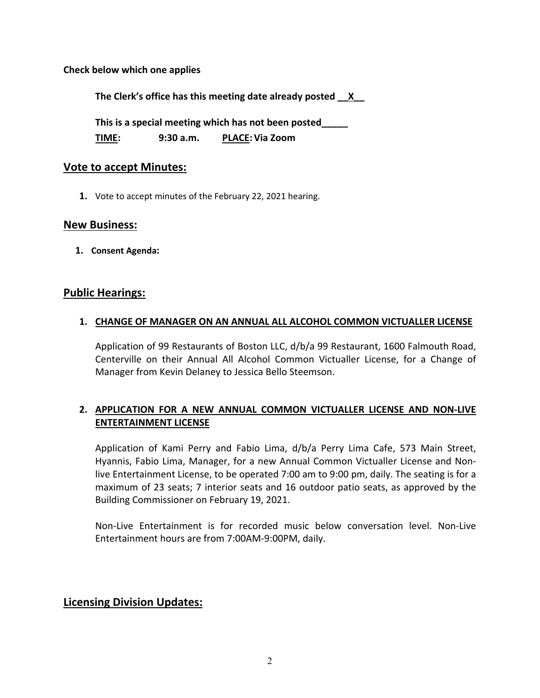**Check below which one applies** 

**The Clerk's office has this meeting date already posted \_\_X\_\_** 

**This is a special meeting which has not been posted\_\_\_\_\_** 

**TIME: 9:30 a.m. PLACE: Via Zoom** 

#### **Vote to accept Minutes:**

**1.** Vote to accept minutes of the February 22, 2021 hearing.

#### **New Business:**

**1. Consent Agenda:** 

#### **Public Hearings:**

#### **1. CHANGE OF MANAGER ON AN ANNUAL ALL ALCOHOL COMMON VICTUALLER LICENSE**

Application of 99 Restaurants of Boston LLC, d/b/a 99 Restaurant, 1600 Falmouth Road, Centerville on their Annual All Alcohol Common Victualler License, for a Change of Manager from Kevin Delaney to Jessica Bello Steemson.

#### **2. APPLICATION FOR A NEW ANNUAL COMMON VICTUALLER LICENSE AND NON-LIVE ENTERTAINMENT LICENSE**

Application of Kami Perry and Fabio Lima, d/b/a Perry Lima Cafe, 573 Main Street, Hyannis, Fabio Lima, Manager, for a new Annual Common Victualler License and Nonlive Entertainment License, to be operated 7:00 am to 9:00 pm, daily. The seating is for a maximum of 23 seats; 7 interior seats and 16 outdoor patio seats, as approved by the Building Commissioner on February 19, 2021.

Non-Live Entertainment is for recorded music below conversation level. Non-Live Entertainment hours are from 7:00AM-9:00PM, daily.

#### **Licensing Division Updates:**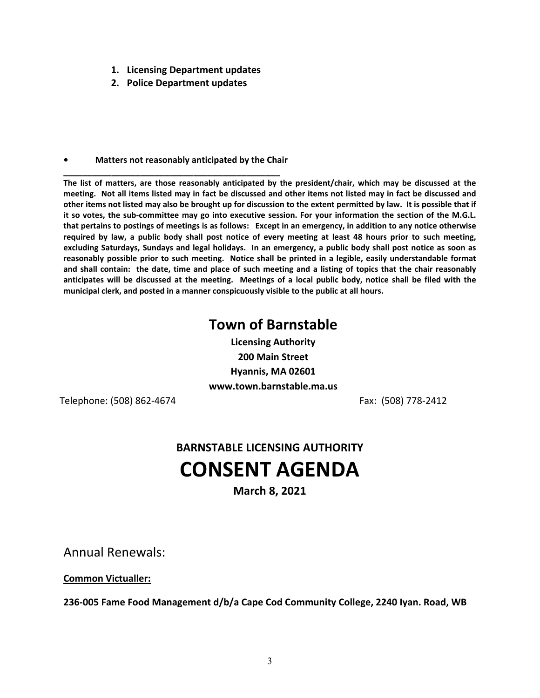- **1. Licensing Department updates**
- **2. Police Department updates**

#### **• Matters not reasonably anticipated by the Chair \_\_\_\_\_\_\_\_\_\_\_\_\_\_\_\_\_\_\_\_\_\_\_\_\_\_\_\_\_\_\_\_\_\_\_\_\_\_\_\_\_\_\_\_\_**

**The list of matters, are those reasonably anticipated by the president/chair, which may be discussed at the meeting. Not all items listed may in fact be discussed and other items not listed may in fact be discussed and other items not listed may also be brought up for discussion to the extent permitted by law. It is possible that if it so votes, the sub-committee may go into executive session. For your information the section of the M.G.L. that pertains to postings of meetings is as follows: Except in an emergency, in addition to any notice otherwise required by law, a public body shall post notice of every meeting at least 48 hours prior to such meeting, excluding Saturdays, Sundays and legal holidays. In an emergency, a public body shall post notice as soon as reasonably possible prior to such meeting. Notice shall be printed in a legible, easily understandable format and shall contain: the date, time and place of such meeting and a listing of topics that the chair reasonably anticipates will be discussed at the meeting. Meetings of a local public body, notice shall be filed with the municipal clerk, and posted in a manner conspicuously visible to the public at all hours.** 

## **Town of Barnstable**

**Licensing Authority 200 Main Street Hyannis, MA 02601 www.town.barnstable.ma.us** 

Telephone: (508) 862-4674 Fax: (508) 778-2412

# **BARNSTABLE LICENSING AUTHORITY CONSENT AGENDA**

**March 8, 2021** 

Annual Renewals:

**Common Victualler:** 

**236-005 Fame Food Management d/b/a Cape Cod Community College, 2240 Iyan. Road, WB**